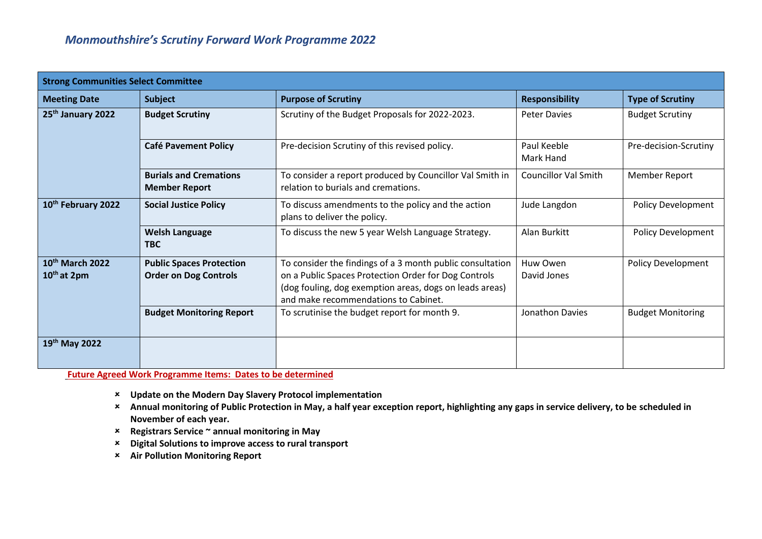| <b>Strong Communities Select Committee</b>             |                                                                 |                                                                                                                                                                                                                      |                             |                           |
|--------------------------------------------------------|-----------------------------------------------------------------|----------------------------------------------------------------------------------------------------------------------------------------------------------------------------------------------------------------------|-----------------------------|---------------------------|
| <b>Meeting Date</b>                                    | <b>Subject</b>                                                  | <b>Purpose of Scrutiny</b>                                                                                                                                                                                           | <b>Responsibility</b>       | <b>Type of Scrutiny</b>   |
| 25 <sup>th</sup> January 2022                          | <b>Budget Scrutiny</b>                                          | Scrutiny of the Budget Proposals for 2022-2023.                                                                                                                                                                      | <b>Peter Davies</b>         | <b>Budget Scrutiny</b>    |
|                                                        | <b>Café Pavement Policy</b>                                     | Pre-decision Scrutiny of this revised policy.                                                                                                                                                                        | Paul Keeble<br>Mark Hand    | Pre-decision-Scrutiny     |
|                                                        | <b>Burials and Cremations</b><br><b>Member Report</b>           | To consider a report produced by Councillor Val Smith in<br>relation to burials and cremations.                                                                                                                      | <b>Councillor Val Smith</b> | Member Report             |
| 10 <sup>th</sup> February 2022                         | <b>Social Justice Policy</b>                                    | To discuss amendments to the policy and the action<br>plans to deliver the policy.                                                                                                                                   | Jude Langdon                | <b>Policy Development</b> |
|                                                        | <b>Welsh Language</b><br><b>TBC</b>                             | To discuss the new 5 year Welsh Language Strategy.                                                                                                                                                                   | Alan Burkitt                | <b>Policy Development</b> |
| 10 <sup>th</sup> March 2022<br>10 <sup>th</sup> at 2pm | <b>Public Spaces Protection</b><br><b>Order on Dog Controls</b> | To consider the findings of a 3 month public consultation<br>on a Public Spaces Protection Order for Dog Controls<br>(dog fouling, dog exemption areas, dogs on leads areas)<br>and make recommendations to Cabinet. | Huw Owen<br>David Jones     | Policy Development        |
|                                                        | <b>Budget Monitoring Report</b>                                 | To scrutinise the budget report for month 9.                                                                                                                                                                         | <b>Jonathon Davies</b>      | <b>Budget Monitoring</b>  |
| 19th May 2022                                          |                                                                 |                                                                                                                                                                                                                      |                             |                           |

**Future Agreed Work Programme Items: Dates to be determined**

- **Update on the Modern Day Slavery Protocol implementation**
- **Annual monitoring of Public Protection in May, a half year exception report, highlighting any gaps in service delivery, to be scheduled in November of each year.**
- **Registrars Service ~ annual monitoring in May**
- **Digital Solutions to improve access to rural transport**
- **Air Pollution Monitoring Report**